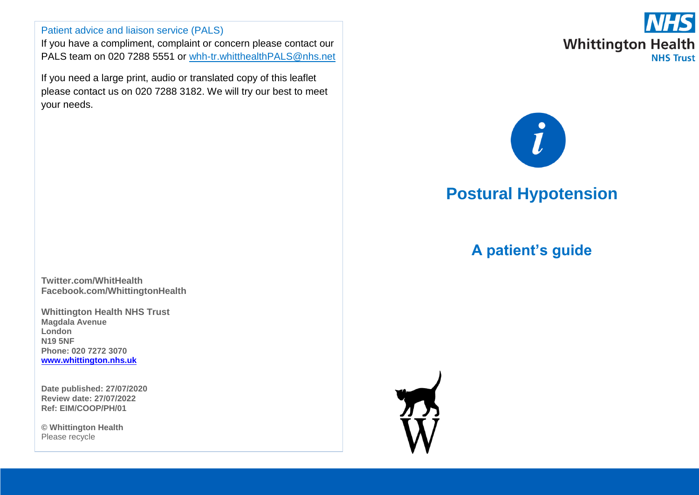#### Patient advice and liaison service (PALS)

If you have a compliment, complaint or concern please contact our PALS team on 020 7288 5551 or [whh-tr.whitthealthPALS@nhs.net](mailto:whh-tr.whitthealthPALS@nhs.net)

If you need a large print, audio or translated copy of this leaflet please contact us on 020 7288 3182. We will try our best to meet your needs.

**Twitter.com/WhitHealth Facebook.com/WhittingtonHealth**

**Whittington Health NHS Trust Magdala Avenue London N19 5NF Phone: 020 7272 3070 [www.whittington.nhs.uk](http://www.whittington.nhs.uk/)**

**Date published: 27/07/2020 Review date: 27/07/2022 Ref: EIM/COOP/PH/01**

**© Whittington Health** Please recycle



# $\hat{l}$

# **Postural Hypotension**

# **A patient's guide**

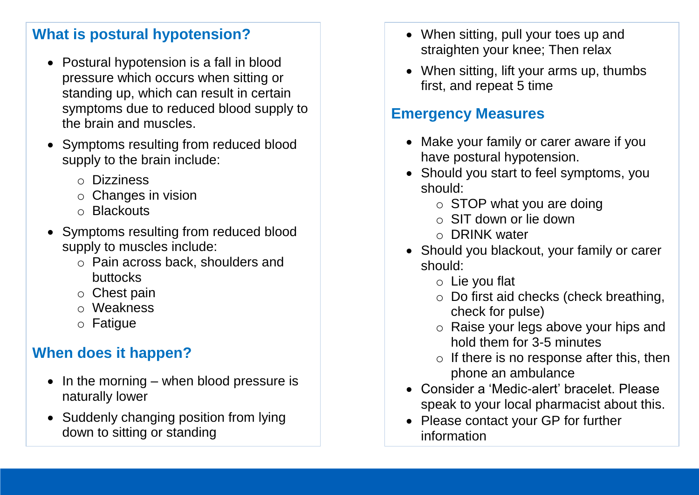### **What is postural hypotension?**

- Postural hypotension is a fall in blood pressure which occurs when sitting or standing up, which can result in certain symptoms due to reduced blood supply to the brain and muscles.
- Symptoms resulting from reduced blood supply to the brain include:
	- o Dizziness
	- o Changes in vision
	- o Blackouts
- Symptoms resulting from reduced blood supply to muscles include:
	- o Pain across back, shoulders and buttocks
	- o Chest pain
	- o Weakness
	- o Fatigue

# **When does it happen?**

- $\bullet$  In the morning when blood pressure is naturally lower
- Suddenly changing position from lying down to sitting or standing
- When sitting, pull your toes up and straighten your knee; Then relax
- When sitting, lift your arms up, thumbs first, and repeat 5 time

## **Emergency Measures**

- Make your family or carer aware if you have postural hypotension.
- Should you start to feel symptoms, you should:
	- $\circ$  STOP what you are doing
	- o SIT down or lie down
	- o DRINK water
- Should you blackout, your family or carer should:
	- o Lie you flat
	- o Do first aid checks (check breathing, check for pulse)
	- o Raise your legs above your hips and hold them for 3-5 minutes
	- $\circ$  If there is no response after this, then phone an ambulance
- Consider a 'Medic-alert' bracelet. Please speak to your local pharmacist about this.
- Please contact your GP for further information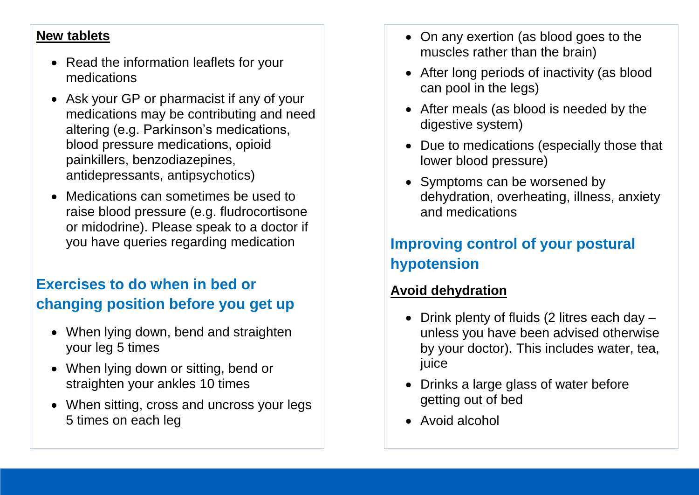#### **New tablets**

- Read the information leaflets for your medications
- Ask your GP or pharmacist if any of your medications may be contributing and need altering (e.g. Parkinson's medications, blood pressure medications, opioid painkillers, benzodiazepines, antidepressants, antipsychotics)
- Medications can sometimes be used to raise blood pressure (e.g. fludrocortisone or midodrine). Please speak to a doctor if you have queries regarding medication

# **Exercises to do when in bed or changing position before you get up**

- When lying down, bend and straighten your leg 5 times
- When lying down or sitting, bend or straighten your ankles 10 times
- When sitting, cross and uncross your legs 5 times on each leg
- On any exertion (as blood goes to the muscles rather than the brain)
- After long periods of inactivity (as blood can pool in the legs)
- After meals (as blood is needed by the digestive system)
- Due to medications (especially those that lower blood pressure)
- Symptoms can be worsened by dehydration, overheating, illness, anxiety and medications

# **Improving control of your postural hypotension**

#### **Avoid dehydration**

- Drink plenty of fluids (2 litres each day  $$ unless you have been advised otherwise by your doctor). This includes water, tea, juice
- Drinks a large glass of water before getting out of bed
- Avoid alcohol